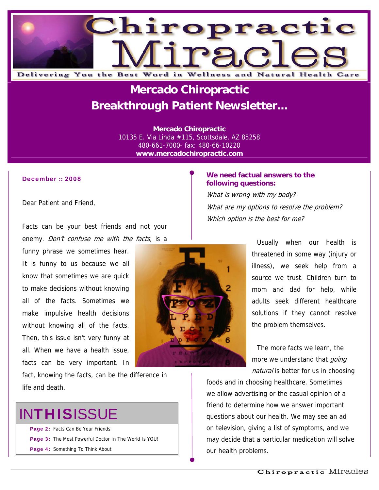

## **Mercado Chiropractic Breakthrough Patient Newsletter...**

**Mercado Chiropractic**  10135 E. Via Linda #115, Scottsdale, AZ 85258 480-661-7000- fax: 480-66-10220 **www.mercadochiropractic.com**

#### December :: 2008

Dear Patient and Friend,

Facts can be your best friends and not your enemy. Don't confuse me with the facts, is a

funny phrase we sometimes hear. It is funny to us because we all know that sometimes we are quick to make decisions without knowing all of the facts. Sometimes we make impulsive health decisions without knowing all of the facts. Then, this issue isn't very funny at all. When we have a health issue, facts can be very important. In

fact, knowing the facts, can be the difference in life and death.

# **INTHISISSUE**

Page 2: Facts Can Be Your Friends

- Page 3: The Most Powerful Doctor In The World Is YOU!
- Page 4: Something To Think About

#### **We need factual answers to the following questions:**

What is wrong with my body? What are my options to resolve the problem? Which option is the best for me?

> Usually when our health is threatened in some way (injury or illness), we seek help from a source we trust. Children turn to mom and dad for help, while adults seek different healthcare solutions if they cannot resolve the problem themselves.

The more facts we learn, the more we understand that *going* natural is better for us in choosing

foods and in choosing healthcare. Sometimes we allow advertising or the casual opinion of a friend to determine how we answer important questions about our health. We may see an ad on television, giving a list of symptoms, and we may decide that a particular medication will solve our health problems.

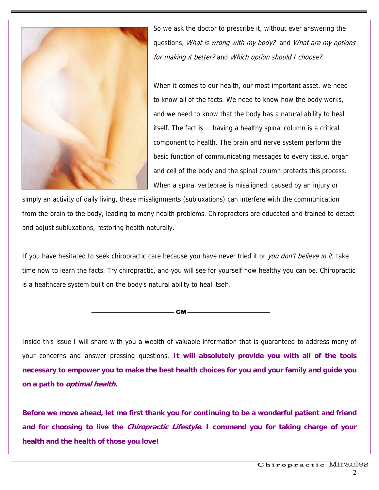

So we ask the doctor to prescribe it, without ever answering the questions, What is wrong with my body? and What are my options for making it better? and Which option should I choose?

When it comes to our health, our most important asset, we need to know all of the facts. We need to know how the body works, and we need to know that the body has a natural ability to heal itself. The fact is … having a healthy spinal column is a critical component to health. The brain and nerve system perform the basic function of communicating messages to every tissue, organ and cell of the body and the spinal column protects this process. When a spinal vertebrae is misaligned, caused by an injury or

simply an activity of daily living, these misalignments (subluxations) can interfere with the communication from the brain to the body, leading to many health problems. Chiropractors are educated and trained to detect and adjust subluxations, restoring health naturally.

If you have hesitated to seek chiropractic care because you have never tried it or you don't believe in it, take time now to learn the facts. Try chiropractic, and you will see for yourself how healthy you can be. Chiropractic is a healthcare system built on the body's natural ability to heal itself.

— СМ-

Inside this issue I will share with you a wealth of valuable information that is guaranteed to address many of your concerns and answer pressing questions. **It will absolutely provide you with all of the tools necessary to empower you to make the best health choices for you and your family and guide you on a path to optimal health.**

**Before we move ahead, let me first thank you for continuing to be a wonderful patient and friend and for choosing to live the Chiropractic Lifestyle. I commend you for taking charge of your health and the health of those you love!**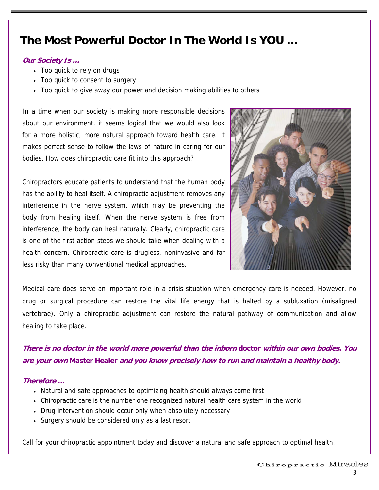### **The Most Powerful Doctor In The World Is YOU …**

#### **Our Society Is …**

- Too quick to rely on drugs
- Too quick to consent to surgery
- Too quick to give away our power and decision making abilities to others

In a time when our society is making more responsible decisions about our environment, it seems logical that we would also look for a more holistic, more natural approach toward health care. It makes perfect sense to follow the laws of nature in caring for our bodies. How does chiropractic care fit into this approach?

Chiropractors educate patients to understand that the human body has the ability to heal itself. A chiropractic adjustment removes any interference in the nerve system, which may be preventing the body from healing itself. When the nerve system is free from interference, the body can heal naturally. Clearly, chiropractic care is one of the first action steps we should take when dealing with a health concern. Chiropractic care is drugless, noninvasive and far less risky than many conventional medical approaches.



Medical care does serve an important role in a crisis situation when emergency care is needed. However, no drug or surgical procedure can restore the vital life energy that is halted by a subluxation (misaligned vertebrae). Only a chiropractic adjustment can restore the natural pathway of communication and allow healing to take place.

### **There is no doctor in the world more powerful than the inborn doctor within our own bodies. You are your own Master Healer and you know precisely how to run and maintain a healthy body.**

#### **Therefore …**

- Natural and safe approaches to optimizing health should always come first
- Chiropractic care is the number one recognized natural health care system in the world
- Drug intervention should occur only when absolutely necessary
- Surgery should be considered only as a last resort

Call for your chiropractic appointment today and discover a natural and safe approach to optimal health.